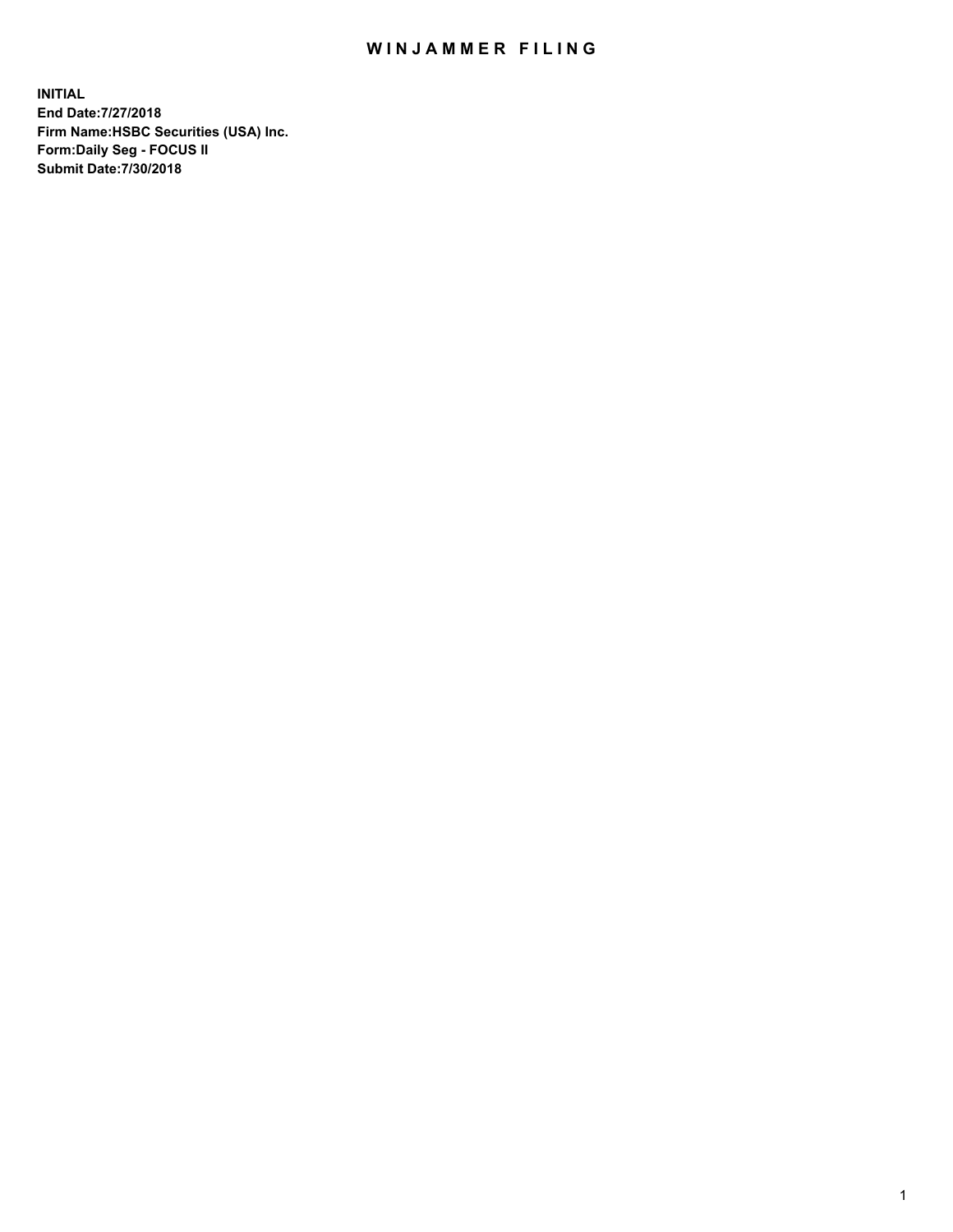## WIN JAMMER FILING

**INITIAL End Date:7/27/2018 Firm Name:HSBC Securities (USA) Inc. Form:Daily Seg - FOCUS II Submit Date:7/30/2018**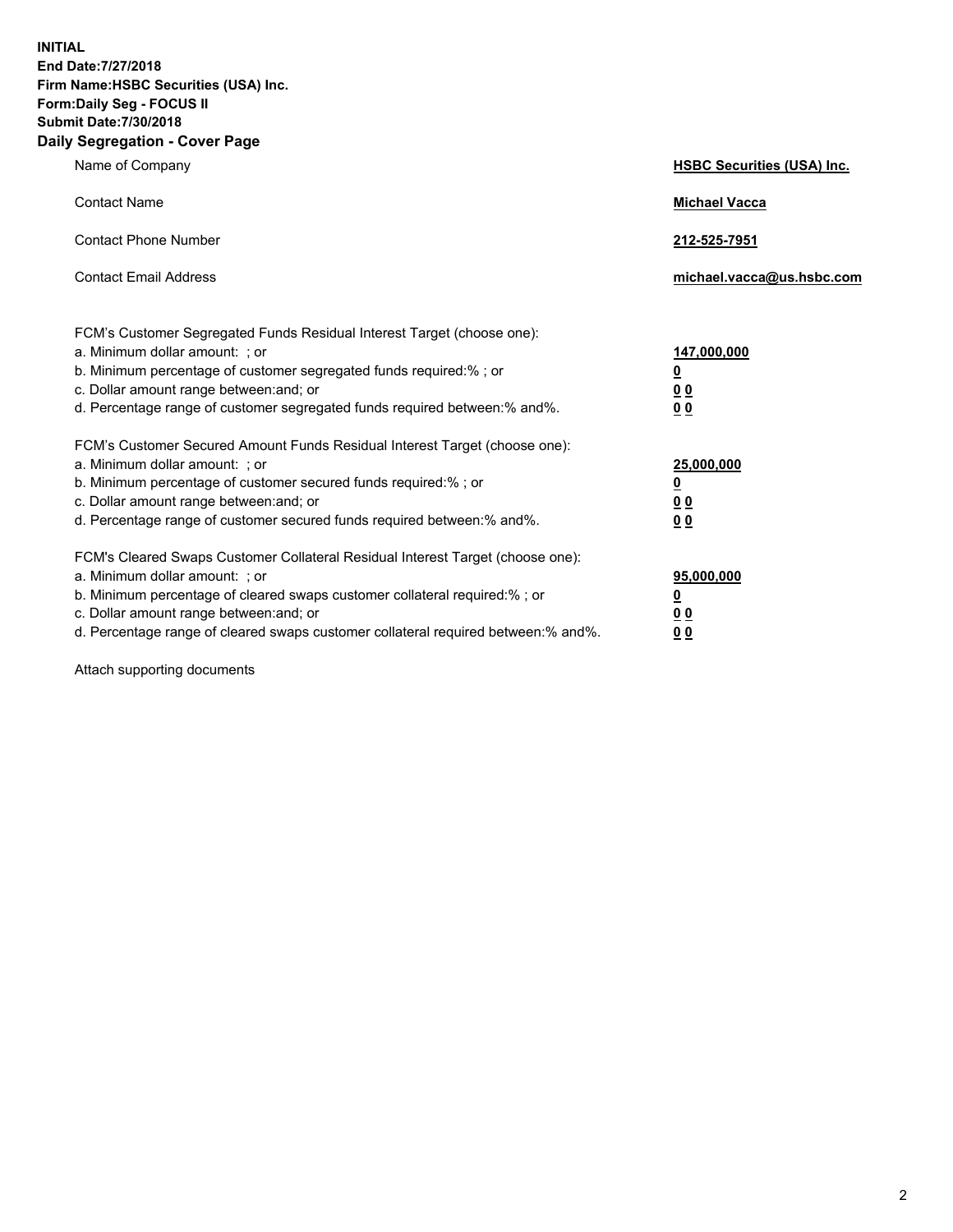**INITIAL End Date:7/27/2018 Firm Name:HSBC Securities (USA) Inc. Form:Daily Seg - FOCUS II Submit Date:7/30/2018 Daily Segregation - Cover Page**

| Name of Company                                                                                                                                                                                                                                                                                                                | <b>HSBC Securities (USA) Inc.</b>                           |
|--------------------------------------------------------------------------------------------------------------------------------------------------------------------------------------------------------------------------------------------------------------------------------------------------------------------------------|-------------------------------------------------------------|
| <b>Contact Name</b>                                                                                                                                                                                                                                                                                                            | <b>Michael Vacca</b>                                        |
| <b>Contact Phone Number</b>                                                                                                                                                                                                                                                                                                    | 212-525-7951                                                |
| <b>Contact Email Address</b>                                                                                                                                                                                                                                                                                                   | michael.vacca@us.hsbc.com                                   |
| FCM's Customer Segregated Funds Residual Interest Target (choose one):<br>a. Minimum dollar amount: : or<br>b. Minimum percentage of customer segregated funds required:% ; or<br>c. Dollar amount range between: and; or<br>d. Percentage range of customer segregated funds required between:% and%.                         | 147,000,000<br><u>0</u><br>0 <sub>0</sub><br>0 <sub>0</sub> |
| FCM's Customer Secured Amount Funds Residual Interest Target (choose one):<br>a. Minimum dollar amount: ; or<br>b. Minimum percentage of customer secured funds required:%; or<br>c. Dollar amount range between: and; or<br>d. Percentage range of customer secured funds required between: % and %.                          | 25,000,000<br><u>0</u><br>00<br>0 <sub>0</sub>              |
| FCM's Cleared Swaps Customer Collateral Residual Interest Target (choose one):<br>a. Minimum dollar amount: ; or<br>b. Minimum percentage of cleared swaps customer collateral required:% ; or<br>c. Dollar amount range between: and; or<br>d. Percentage range of cleared swaps customer collateral required between:% and%. | 95,000,000<br><u>0</u><br>00<br>00                          |

Attach supporting documents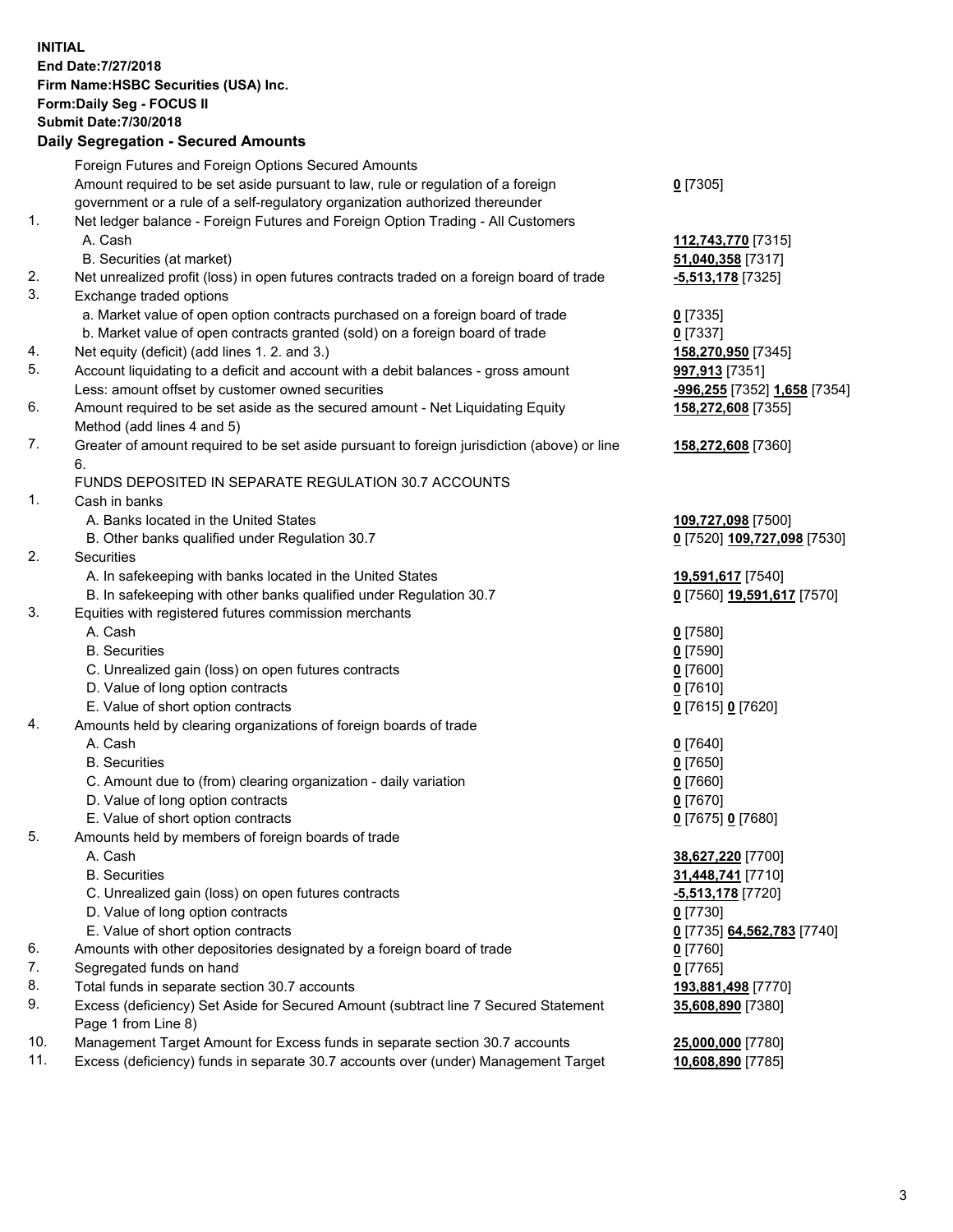**INITIAL End Date:7/27/2018 Firm Name:HSBC Securities (USA) Inc. Form:Daily Seg - FOCUS II Submit Date:7/30/2018 Daily Segregation - Secured Amounts** Foreign Futures and Foreign Options Secured Amounts Amount required to be set aside pursuant to law, rule or regulation of a foreign government or a rule of a self-regulatory organization authorized thereunder **0** [7305] 1. Net ledger balance - Foreign Futures and Foreign Option Trading - All Customers A. Cash **112,743,770** [7315] B. Securities (at market) **51,040,358** [7317] 2. Net unrealized profit (loss) in open futures contracts traded on a foreign board of trade **-5,513,178** [7325] 3. Exchange traded options a. Market value of open option contracts purchased on a foreign board of trade **0** [7335] b. Market value of open contracts granted (sold) on a foreign board of trade **0** [7337] 4. Net equity (deficit) (add lines 1. 2. and 3.) **158,270,950** [7345] 5. Account liquidating to a deficit and account with a debit balances - gross amount **997,913** [7351] Less: amount offset by customer owned securities **-996,255** [7352] **1,658** [7354] 6. Amount required to be set aside as the secured amount - Net Liquidating Equity Method (add lines 4 and 5) **158,272,608** [7355] 7. Greater of amount required to be set aside pursuant to foreign jurisdiction (above) or line 6. **158,272,608** [7360] FUNDS DEPOSITED IN SEPARATE REGULATION 30.7 ACCOUNTS 1. Cash in banks A. Banks located in the United States **109,727,098** [7500] B. Other banks qualified under Regulation 30.7 **0** [7520] **109,727,098** [7530] 2. Securities A. In safekeeping with banks located in the United States **19,591,617** [7540] B. In safekeeping with other banks qualified under Regulation 30.7 **0** [7560] **19,591,617** [7570] 3. Equities with registered futures commission merchants A. Cash **0** [7580] B. Securities **0** [7590] C. Unrealized gain (loss) on open futures contracts **0** [7600] D. Value of long option contracts **0** [7610] E. Value of short option contracts **0** [7615] **0** [7620] 4. Amounts held by clearing organizations of foreign boards of trade A. Cash **0** [7640] B. Securities **0** [7650] C. Amount due to (from) clearing organization - daily variation **0** [7660] D. Value of long option contracts **0** [7670] E. Value of short option contracts **0** [7675] **0** [7680] 5. Amounts held by members of foreign boards of trade A. Cash **38,627,220** [7700] B. Securities **31,448,741** [7710] C. Unrealized gain (loss) on open futures contracts **-5,513,178** [7720] D. Value of long option contracts **0** [7730] E. Value of short option contracts **0** [7735] **64,562,783** [7740] 6. Amounts with other depositories designated by a foreign board of trade **0** [7760] 7. Segregated funds on hand **0** [7765] 8. Total funds in separate section 30.7 accounts **193,881,498** [7770] 9. Excess (deficiency) Set Aside for Secured Amount (subtract line 7 Secured Statement Page 1 from Line 8) **35,608,890** [7380] 10. Management Target Amount for Excess funds in separate section 30.7 accounts **25,000,000** [7780]

11. Excess (deficiency) funds in separate 30.7 accounts over (under) Management Target **10,608,890** [7785]

3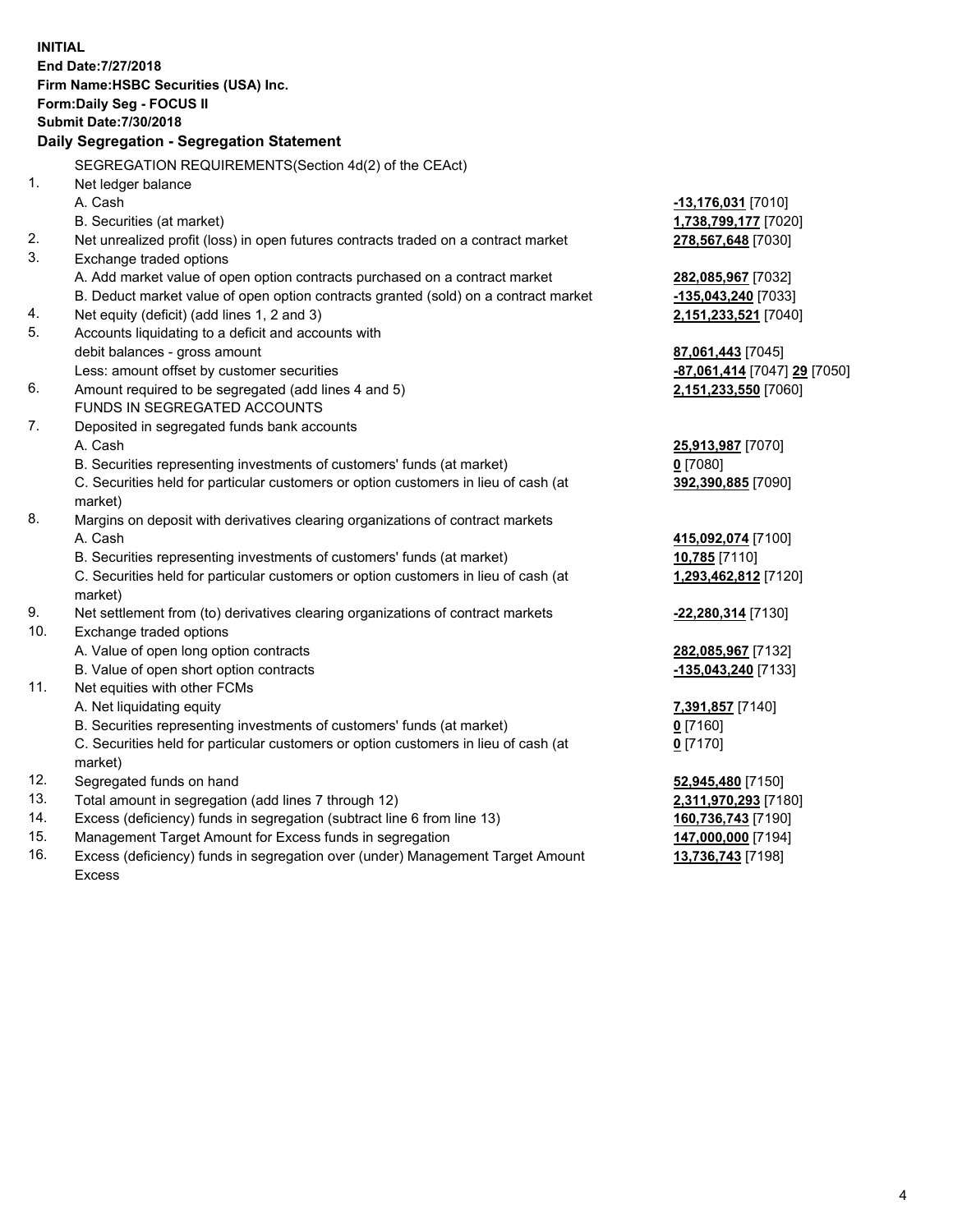| <b>INITIAL</b> |                                                                                     |                                           |
|----------------|-------------------------------------------------------------------------------------|-------------------------------------------|
|                | End Date: 7/27/2018                                                                 |                                           |
|                | Firm Name: HSBC Securities (USA) Inc.                                               |                                           |
|                | Form: Daily Seg - FOCUS II                                                          |                                           |
|                | <b>Submit Date: 7/30/2018</b>                                                       |                                           |
|                | Daily Segregation - Segregation Statement                                           |                                           |
|                | SEGREGATION REQUIREMENTS(Section 4d(2) of the CEAct)                                |                                           |
| 1.             | Net ledger balance                                                                  |                                           |
|                | A. Cash                                                                             | -13,176,031 [7010]                        |
|                | B. Securities (at market)                                                           | 1,738,799,177 [7020]                      |
| 2.             | Net unrealized profit (loss) in open futures contracts traded on a contract market  | 278,567,648 [7030]                        |
| 3.             | Exchange traded options                                                             |                                           |
|                | A. Add market value of open option contracts purchased on a contract market         | 282,085,967 [7032]                        |
|                | B. Deduct market value of open option contracts granted (sold) on a contract market | -135,043,240 [7033]                       |
| 4.             | Net equity (deficit) (add lines 1, 2 and 3)                                         | 2,151,233,521 [7040]                      |
| 5.             | Accounts liquidating to a deficit and accounts with                                 |                                           |
|                | debit balances - gross amount                                                       | 87,061,443 [7045]                         |
|                | Less: amount offset by customer securities                                          | <mark>-87,061,414</mark> [7047] 29 [7050] |
| 6.             | Amount required to be segregated (add lines 4 and 5)                                | 2,151,233,550 [7060]                      |
|                | FUNDS IN SEGREGATED ACCOUNTS                                                        |                                           |
| 7.             | Deposited in segregated funds bank accounts                                         |                                           |
|                | A. Cash                                                                             | 25,913,987 [7070]                         |
|                | B. Securities representing investments of customers' funds (at market)              | $0$ [7080]                                |
|                | C. Securities held for particular customers or option customers in lieu of cash (at | 392,390,885 [7090]                        |
|                | market)                                                                             |                                           |
| 8.             | Margins on deposit with derivatives clearing organizations of contract markets      |                                           |
|                | A. Cash                                                                             | 415,092,074 [7100]                        |
|                | B. Securities representing investments of customers' funds (at market)              | 10,785 [7110]                             |
|                | C. Securities held for particular customers or option customers in lieu of cash (at | 1,293,462,812 [7120]                      |
|                | market)                                                                             |                                           |
| 9.             | Net settlement from (to) derivatives clearing organizations of contract markets     | -22,280,314 [7130]                        |
| 10.            | Exchange traded options                                                             |                                           |
|                | A. Value of open long option contracts                                              | 282,085,967 [7132]                        |
|                | B. Value of open short option contracts                                             | -135,043,240 [7133]                       |
| 11.            | Net equities with other FCMs                                                        |                                           |
|                | A. Net liquidating equity                                                           | 7,391,857 [7140]                          |
|                | B. Securities representing investments of customers' funds (at market)              | $0$ [7160]                                |
|                | C. Securities held for particular customers or option customers in lieu of cash (at | $0$ [7170]                                |
|                | market)                                                                             |                                           |
| 12.            | Segregated funds on hand                                                            | 52,945,480 [7150]                         |
| 13.            | Total amount in segregation (add lines 7 through 12)                                | 2,311,970,293 [7180]                      |
| 14.            | Excess (deficiency) funds in segregation (subtract line 6 from line 13)             | 160,736,743 [7190]                        |
| 15.            | Management Target Amount for Excess funds in segregation                            | 147,000,000 [7194]                        |

16. Excess (deficiency) funds in segregation over (under) Management Target Amount Excess

**13,736,743** [7198]